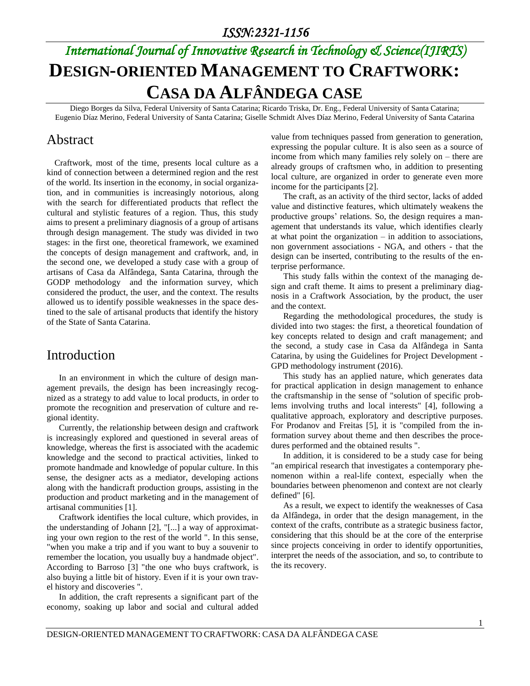# *International Journal of Innovative Research in Technology & Science(IJIRTS)* **DESIGN-ORIENTED MANAGEMENT TO CRAFTWORK: CASA DA ALFÂNDEGA CASE**

Diego Borges da Silva, Federal University of Santa Catarina; Ricardo Triska, Dr. Eng., Federal University of Santa Catarina; Eugenio Díaz Merino, Federal University of Santa Catarina; Giselle Schmidt Alves Díaz Merino, Federal University of Santa Catarina

# Abstract

Craftwork, most of the time, presents local culture as a kind of connection between a determined region and the rest of the world. Its insertion in the economy, in social organization, and in communities is increasingly notorious, along with the search for differentiated products that reflect the cultural and stylistic features of a region. Thus, this study aims to present a preliminary diagnosis of a group of artisans through design management. The study was divided in two stages: in the first one, theoretical framework, we examined the concepts of design management and craftwork, and, in the second one, we developed a study case with a group of artisans of Casa da Alfândega, Santa Catarina, through the GODP methodology and the information survey, which considered the product, the user, and the context. The results allowed us to identify possible weaknesses in the space destined to the sale of artisanal products that identify the history of the State of Santa Catarina.

# Introduction

In an environment in which the culture of design management prevails, the design has been increasingly recognized as a strategy to add value to local products, in order to promote the recognition and preservation of culture and regional identity.

Currently, the relationship between design and craftwork is increasingly explored and questioned in several areas of knowledge, whereas the first is associated with the academic knowledge and the second to practical activities, linked to promote handmade and knowledge of popular culture. In this sense, the designer acts as a mediator, developing actions along with the handicraft production groups, assisting in the production and product marketing and in the management of artisanal communities [1].

Craftwork identifies the local culture, which provides, in the understanding of Johann [2], "[...] a way of approximating your own region to the rest of the world ". In this sense, "when you make a trip and if you want to buy a souvenir to remember the location, you usually buy a handmade object". According to Barroso [3] "the one who buys craftwork, is also buying a little bit of history. Even if it is your own travel history and discoveries ".

In addition, the craft represents a significant part of the economy, soaking up labor and social and cultural added value from techniques passed from generation to generation, expressing the popular culture. It is also seen as a source of income from which many families rely solely on – there are already groups of craftsmen who, in addition to presenting local culture, are organized in order to generate even more income for the participants [2].

The craft, as an activity of the third sector, lacks of added value and distinctive features, which ultimately weakens the productive groups' relations. So, the design requires a management that understands its value, which identifies clearly at what point the organization  $-$  in addition to associations, non government associations - NGA, and others - that the design can be inserted, contributing to the results of the enterprise performance.

This study falls within the context of the managing design and craft theme. It aims to present a preliminary diagnosis in a Craftwork Association, by the product, the user and the context.

Regarding the methodological procedures, the study is divided into two stages: the first, a theoretical foundation of key concepts related to design and craft management; and the second, a study case in Casa da Alfândega in Santa Catarina, by using the Guidelines for Project Development - GPD methodology instrument (2016).

This study has an applied nature, which generates data for practical application in design management to enhance the craftsmanship in the sense of "solution of specific problems involving truths and local interests" [4], following a qualitative approach, exploratory and descriptive purposes. For Prodanov and Freitas [5], it is "compiled from the information survey about theme and then describes the procedures performed and the obtained results ".

In addition, it is considered to be a study case for being "an empirical research that investigates a contemporary phenomenon within a real-life context, especially when the boundaries between phenomenon and context are not clearly defined" [6].

As a result, we expect to identify the weaknesses of Casa da Alfândega, in order that the design management, in the context of the crafts, contribute as a strategic business factor, considering that this should be at the core of the enterprise since projects conceiving in order to identify opportunities, interpret the needs of the association, and so, to contribute to the its recovery.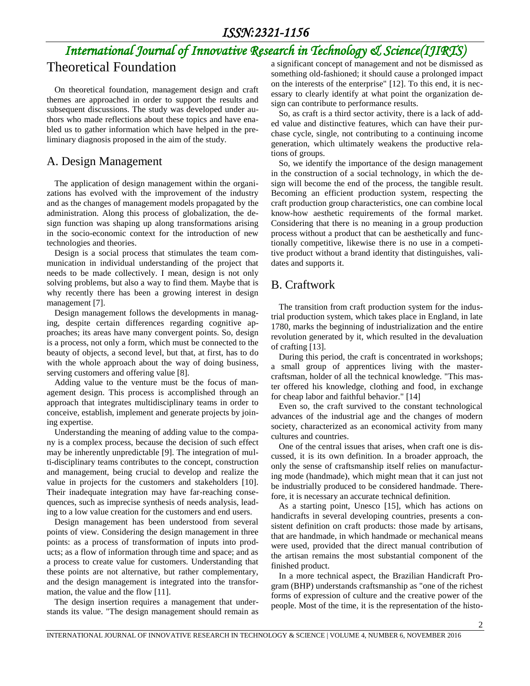# *International Journal of Innovative Research in Technology & Science(IJIRTS)*

# Theoretical Foundation

On theoretical foundation, management design and craft themes are approached in order to support the results and subsequent discussions. The study was developed under authors who made reflections about these topics and have enabled us to gather information which have helped in the preliminary diagnosis proposed in the aim of the study.

### A. Design Management

The application of design management within the organizations has evolved with the improvement of the industry and as the changes of management models propagated by the administration. Along this process of globalization, the design function was shaping up along transformations arising in the socio-economic context for the introduction of new technologies and theories.

Design is a social process that stimulates the team communication in individual understanding of the project that needs to be made collectively. I mean, design is not only solving problems, but also a way to find them. Maybe that is why recently there has been a growing interest in design management [7].

Design management follows the developments in managing, despite certain differences regarding cognitive approaches; its areas have many convergent points. So, design is a process, not only a form, which must be connected to the beauty of objects, a second level, but that, at first, has to do with the whole approach about the way of doing business, serving customers and offering value [8].

Adding value to the venture must be the focus of management design. This process is accomplished through an approach that integrates multidisciplinary teams in order to conceive, establish, implement and generate projects by joining expertise.

Understanding the meaning of adding value to the company is a complex process, because the decision of such effect may be inherently unpredictable [9]. The integration of multi-disciplinary teams contributes to the concept, construction and management, being crucial to develop and realize the value in projects for the customers and stakeholders [10]. Their inadequate integration may have far-reaching consequences, such as imprecise synthesis of needs analysis, leading to a low value creation for the customers and end users.

Design management has been understood from several points of view. Considering the design management in three points: as a process of transformation of inputs into products; as a flow of information through time and space; and as a process to create value for customers. Understanding that these points are not alternative, but rather complementary, and the design management is integrated into the transformation, the value and the flow [11].

The design insertion requires a management that understands its value. "The design management should remain as a significant concept of management and not be dismissed as something old-fashioned; it should cause a prolonged impact on the interests of the enterprise" [12]. To this end, it is necessary to clearly identify at what point the organization design can contribute to performance results.

So, as craft is a third sector activity, there is a lack of added value and distinctive features, which can have their purchase cycle, single, not contributing to a continuing income generation, which ultimately weakens the productive relations of groups.

So, we identify the importance of the design management in the construction of a social technology, in which the design will become the end of the process, the tangible result. Becoming an efficient production system, respecting the craft production group characteristics, one can combine local know-how aesthetic requirements of the formal market. Considering that there is no meaning in a group production process without a product that can be aesthetically and functionally competitive, likewise there is no use in a competitive product without a brand identity that distinguishes, validates and supports it.

## B. Craftwork

The transition from craft production system for the industrial production system, which takes place in England, in late 1780, marks the beginning of industrialization and the entire revolution generated by it, which resulted in the devaluation of crafting [13].

During this period, the craft is concentrated in workshops; a small group of apprentices living with the mastercraftsman, holder of all the technical knowledge. "This master offered his knowledge, clothing and food, in exchange for cheap labor and faithful behavior." [14]

Even so, the craft survived to the constant technological advances of the industrial age and the changes of modern society, characterized as an economical activity from many cultures and countries.

One of the central issues that arises, when craft one is discussed, it is its own definition. In a broader approach, the only the sense of craftsmanship itself relies on manufacturing mode (handmade), which might mean that it can just not be industrially produced to be considered handmade. Therefore, it is necessary an accurate technical definition.

As a starting point, Unesco [15], which has actions on handicrafts in several developing countries, presents a consistent definition on craft products: those made by artisans, that are handmade, in which handmade or mechanical means were used, provided that the direct manual contribution of the artisan remains the most substantial component of the finished product.

In a more technical aspect, the Brazilian Handicraft Program (BHP) understands craftsmanship as "one of the richest forms of expression of culture and the creative power of the people. Most of the time, it is the representation of the histo-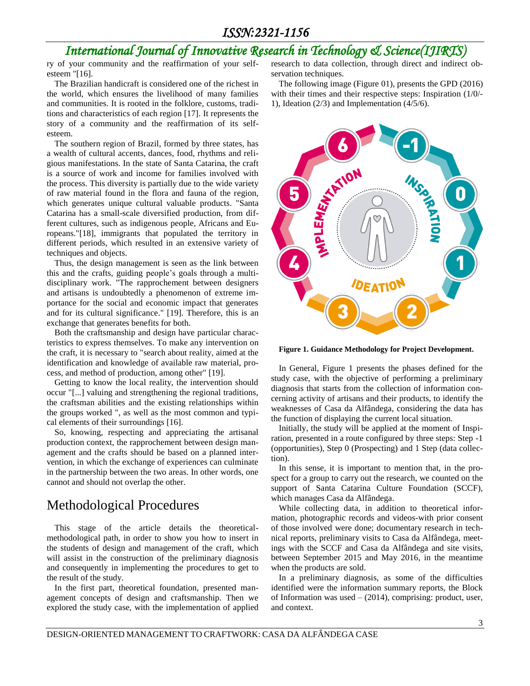# *International Journal of Innovative Research in Technology & Science(IJIRTS)*

ry of your community and the reaffirmation of your selfesteem "[16].

The Brazilian handicraft is considered one of the richest in the world, which ensures the livelihood of many families and communities. It is rooted in the folklore, customs, traditions and characteristics of each region [17]. It represents the story of a community and the reaffirmation of its selfesteem.

The southern region of Brazil, formed by three states, has a wealth of cultural accents, dances, food, rhythms and religious manifestations. In the state of Santa Catarina, the craft is a source of work and income for families involved with the process. This diversity is partially due to the wide variety of raw material found in the flora and fauna of the region, which generates unique cultural valuable products. "Santa Catarina has a small-scale diversified production, from different cultures, such as indigenous people, Africans and Europeans."[18], immigrants that populated the territory in different periods, which resulted in an extensive variety of techniques and objects.

Thus, the design management is seen as the link between this and the crafts, guiding people's goals through a multidisciplinary work. "The rapprochement between designers and artisans is undoubtedly a phenomenon of extreme importance for the social and economic impact that generates and for its cultural significance." [19]. Therefore, this is an exchange that generates benefits for both.

Both the craftsmanship and design have particular characteristics to express themselves. To make any intervention on the craft, it is necessary to "search about reality, aimed at the identification and knowledge of available raw material, process, and method of production, among other" [19].

Getting to know the local reality, the intervention should occur "[...] valuing and strengthening the regional traditions, the craftsman abilities and the existing relationships within the groups worked ", as well as the most common and typical elements of their surroundings [16].

So, knowing, respecting and appreciating the artisanal production context, the rapprochement between design management and the crafts should be based on a planned intervention, in which the exchange of experiences can culminate in the partnership between the two areas. In other words, one cannot and should not overlap the other.

# Methodological Procedures

This stage of the article details the theoreticalmethodological path, in order to show you how to insert in the students of design and management of the craft, which will assist in the construction of the preliminary diagnosis and consequently in implementing the procedures to get to the result of the study.

In the first part, theoretical foundation, presented management concepts of design and craftsmanship. Then we explored the study case, with the implementation of applied research to data collection, through direct and indirect observation techniques.

The following image (Figure 01), presents the GPD (2016) with their times and their respective steps: Inspiration (1/0/- 1), Ideation (2/3) and Implementation (4/5/6).



**Figure 1. Guidance Methodology for Project Development.**

In General, Figure 1 presents the phases defined for the study case, with the objective of performing a preliminary diagnosis that starts from the collection of information concerning activity of artisans and their products, to identify the weaknesses of Casa da Alfândega, considering the data has the function of displaying the current local situation.

Initially, the study will be applied at the moment of Inspiration, presented in a route configured by three steps: Step -1 (opportunities), Step 0 (Prospecting) and 1 Step (data collection).

In this sense, it is important to mention that, in the prospect for a group to carry out the research, we counted on the support of Santa Catarina Culture Foundation (SCCF), which manages Casa da Alfândega.

While collecting data, in addition to theoretical information, photographic records and videos-with prior consent of those involved were done; documentary research in technical reports, preliminary visits to Casa da Alfândega, meetings with the SCCF and Casa da Alfândega and site visits, between September 2015 and May 2016, in the meantime when the products are sold.

In a preliminary diagnosis, as some of the difficulties identified were the information summary reports, the Block of Information was used  $-$  (2014), comprising: product, user, and context.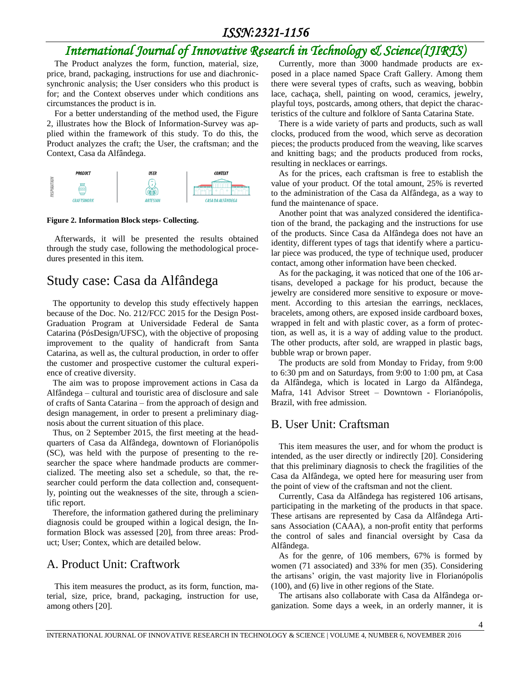# *International Journal of Innovative Research in Technology & Science(IJIRTS)*

The Product analyzes the form, function, material, size, price, brand, packaging, instructions for use and diachronicsynchronic analysis; the User considers who this product is for; and the Context observes under which conditions ans circumstances the product is in.

For a better understanding of the method used, the Figure 2, illustrates how the Block of Information-Survey was applied within the framework of this study. To do this, the Product analyzes the craft; the User, the craftsman; and the Context, Casa da Alfândega.



#### **Figure 2. Information Block steps- Collecting.**

Afterwards, it will be presented the results obtained through the study case, following the methodological procedures presented in this item.

# Study case: Casa da Alfândega

The opportunity to develop this study effectively happen because of the Doc. No. 212/FCC 2015 for the Design Post-Graduation Program at Universidade Federal de Santa Catarina (PósDesign/UFSC), with the objective of proposing improvement to the quality of handicraft from Santa Catarina, as well as, the cultural production, in order to offer the customer and prospective customer the cultural experience of creative diversity.

The aim was to propose improvement actions in Casa da Alfândega – cultural and touristic area of disclosure and sale of crafts of Santa Catarina – from the approach of design and design management, in order to present a preliminary diagnosis about the current situation of this place.

Thus, on 2 September 2015, the first meeting at the headquarters of Casa da Alfândega, downtown of Florianópolis (SC), was held with the purpose of presenting to the researcher the space where handmade products are commercialized. The meeting also set a schedule, so that, the researcher could perform the data collection and, consequently, pointing out the weaknesses of the site, through a scientific report.

Therefore, the information gathered during the preliminary diagnosis could be grouped within a logical design, the Information Block was assessed [20], from three areas: Product; User; Contex, which are detailed below.

#### A. Product Unit: Craftwork

This item measures the product, as its form, function, material, size, price, brand, packaging, instruction for use, among others [20].

Currently, more than 3000 handmade products are exposed in a place named Space Craft Gallery. Among them there were several types of crafts, such as weaving, bobbin lace, cachaça, shell, painting on wood, ceramics, jewelry, playful toys, postcards, among others, that depict the characteristics of the culture and folklore of Santa Catarina State.

There is a wide variety of parts and products, such as wall clocks, produced from the wood, which serve as decoration pieces; the products produced from the weaving, like scarves and knitting bags; and the products produced from rocks, resulting in necklaces or earrings.

As for the prices, each craftsman is free to establish the value of your product. Of the total amount, 25% is reverted to the administration of the Casa da Alfândega, as a way to fund the maintenance of space.

Another point that was analyzed considered the identification of the brand, the packaging and the instructions for use of the products. Since Casa da Alfândega does not have an identity, different types of tags that identify where a particular piece was produced, the type of technique used, producer contact, among other information have been checked.

As for the packaging, it was noticed that one of the 106 artisans, developed a package for his product, because the jewelry are considered more sensitive to exposure or movement. According to this artesian the earrings, necklaces, bracelets, among others, are exposed inside cardboard boxes, wrapped in felt and with plastic cover, as a form of protection, as well as, it is a way of adding value to the product. The other products, after sold, are wrapped in plastic bags, bubble wrap or brown paper.

The products are sold from Monday to Friday, from 9:00 to 6:30 pm and on Saturdays, from 9:00 to 1:00 pm, at Casa da Alfândega, which is located in Largo da Alfândega, Mafra, 141 Advisor Street – Downtown - Florianópolis, Brazil, with free admission.

#### B. User Unit: Craftsman

This item measures the user, and for whom the product is intended, as the user directly or indirectly [20]. Considering that this preliminary diagnosis to check the fragilities of the Casa da Alfândega, we opted here for measuring user from the point of view of the craftsman and not the client.

Currently, Casa da Alfândega has registered 106 artisans, participating in the marketing of the products in that space. These artisans are represented by Casa da Alfândega Artisans Association (CAAA), a non-profit entity that performs the control of sales and financial oversight by Casa da Alfândega.

As for the genre, of 106 members, 67% is formed by women (71 associated) and 33% for men (35). Considering the artisans' origin, the vast majority live in Florianópolis (100), and (6) live in other regions of the State.

The artisans also collaborate with Casa da Alfândega organization. Some days a week, in an orderly manner, it is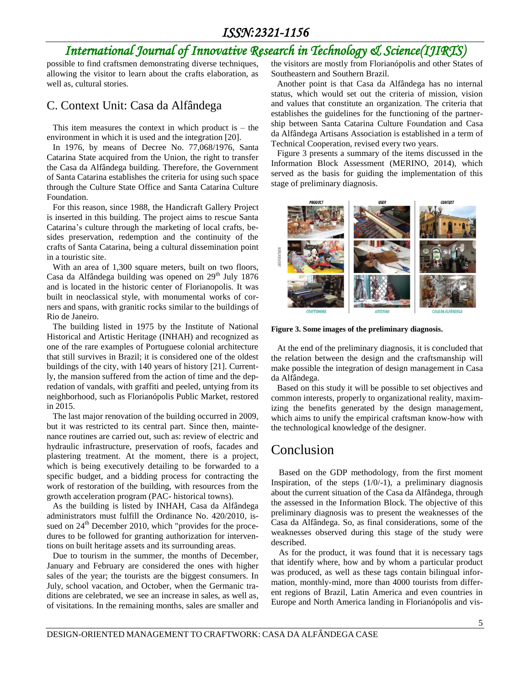# *International Journal of Innovative Research in Technology & Science(IJIRTS)*

possible to find craftsmen demonstrating diverse techniques, allowing the visitor to learn about the crafts elaboration, as well as, cultural stories.

#### C. Context Unit: Casa da Alfândega

This item measures the context in which product is  $-$  the environment in which it is used and the integration [20].

In 1976, by means of Decree No. 77,068/1976, Santa Catarina State acquired from the Union, the right to transfer the Casa da Alfândega building. Therefore, the Government of Santa Catarina establishes the criteria for using such space through the Culture State Office and Santa Catarina Culture Foundation.

For this reason, since 1988, the Handicraft Gallery Project is inserted in this building. The project aims to rescue Santa Catarina's culture through the marketing of local crafts, besides preservation, redemption and the continuity of the crafts of Santa Catarina, being a cultural dissemination point in a touristic site.

With an area of 1,300 square meters, built on two floors, Casa da Alfândega building was opened on  $29<sup>th</sup>$  July 1876 and is located in the historic center of Florianopolis. It was built in neoclassical style, with monumental works of corners and spans, with granitic rocks similar to the buildings of Rio de Janeiro.

The building listed in 1975 by the Institute of National Historical and Artistic Heritage (INHAH) and recognized as one of the rare examples of Portuguese colonial architecture that still survives in Brazil; it is considered one of the oldest buildings of the city, with 140 years of history [21]. Currently, the mansion suffered from the action of time and the depredation of vandals, with graffiti and peeled, untying from its neighborhood, such as Florianópolis Public Market, restored in 2015.

The last major renovation of the building occurred in 2009, but it was restricted to its central part. Since then, maintenance routines are carried out, such as: review of electric and hydraulic infrastructure, preservation of roofs, facades and plastering treatment. At the moment, there is a project, which is being executively detailing to be forwarded to a specific budget, and a bidding process for contracting the work of restoration of the building, with resources from the growth acceleration program (PAC- historical towns).

As the building is listed by INHAH, Casa da Alfândega administrators must fulfill the Ordinance No. 420/2010, issued on 24<sup>th</sup> December 2010, which "provides for the procedures to be followed for granting authorization for interventions on built heritage assets and its surrounding areas.

Due to tourism in the summer, the months of December, January and February are considered the ones with higher sales of the year; the tourists are the biggest consumers. In July, school vacation, and October, when the Germanic traditions are celebrated, we see an increase in sales, as well as, of visitations. In the remaining months, sales are smaller and

the visitors are mostly from Florianópolis and other States of Southeastern and Southern Brazil.

Another point is that Casa da Alfândega has no internal status, which would set out the criteria of mission, vision and values that constitute an organization. The criteria that establishes the guidelines for the functioning of the partnership between Santa Catarina Culture Foundation and Casa da Alfândega Artisans Association is established in a term of Technical Cooperation, revised every two years.

Figure 3 presents a summary of the items discussed in the Information Block Assessment (MERINO, 2014), which served as the basis for guiding the implementation of this stage of preliminary diagnosis.



**Figure 3. Some images of the preliminary diagnosis.**

At the end of the preliminary diagnosis, it is concluded that the relation between the design and the craftsmanship will make possible the integration of design management in Casa da Alfândega.

Based on this study it will be possible to set objectives and common interests, properly to organizational reality, maximizing the benefits generated by the design management, which aims to unify the empirical craftsman know-how with the technological knowledge of the designer.

# Conclusion

Based on the GDP methodology, from the first moment Inspiration, of the steps  $(1/0/-1)$ , a preliminary diagnosis about the current situation of the Casa da Alfândega, through the assessed in the Information Block. The objective of this preliminary diagnosis was to present the weaknesses of the Casa da Alfândega. So, as final considerations, some of the weaknesses observed during this stage of the study were described.

As for the product, it was found that it is necessary tags that identify where, how and by whom a particular product was produced, as well as these tags contain bilingual information, monthly-mind, more than 4000 tourists from different regions of Brazil, Latin America and even countries in Europe and North America landing in Florianópolis and vis-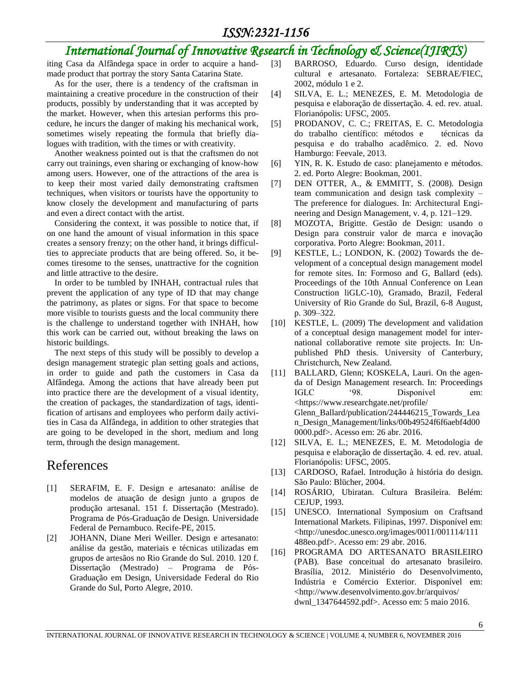# *International Journal of Innovative Research in Technology & Science(IJIRTS)*

iting Casa da Alfândega space in order to acquire a handmade product that portray the story Santa Catarina State.

As for the user, there is a tendency of the craftsman in maintaining a creative procedure in the construction of their products, possibly by understanding that it was accepted by the market. However, when this artesian performs this procedure, he incurs the danger of making his mechanical work, sometimes wisely repeating the formula that briefly dialogues with tradition, with the times or with creativity.

Another weakness pointed out is that the craftsmen do not carry out trainings, even sharing or exchanging of know-how among users. However, one of the attractions of the area is to keep their most varied daily demonstrating craftsmen techniques, when visitors or tourists have the opportunity to know closely the development and manufacturing of parts and even a direct contact with the artist.

Considering the context, it was possible to notice that, if on one hand the amount of visual information in this space creates a sensory frenzy; on the other hand, it brings difficulties to appreciate products that are being offered. So, it becomes tiresome to the senses, unattractive for the cognition and little attractive to the desire.

In order to be tumbled by INHAH, contractual rules that prevent the application of any type of ID that may change the patrimony, as plates or signs. For that space to become more visible to tourists guests and the local community there is the challenge to understand together with INHAH, how this work can be carried out, without breaking the laws on historic buildings.

The next steps of this study will be possibly to develop a design management strategic plan setting goals and actions, in order to guide and path the customers in Casa da Alfândega. Among the actions that have already been put into practice there are the development of a visual identity, the creation of packages, the standardization of tags, identification of artisans and employees who perform daily activities in Casa da Alfândega, in addition to other strategies that are going to be developed in the short, medium and long term, through the design management.

# References

- [1] SERAFIM, E. F. Design e artesanato: análise de modelos de atuação de design junto a grupos de produção artesanal. 151 f. Dissertação (Mestrado). Programa de Pós-Graduação de Design. Universidade Federal de Pernambuco. Recife-PE, 2015.
- [2] JOHANN, Diane Meri Weiller. Design e artesanato: análise da gestão, materiais e técnicas utilizadas em grupos de artesãos no Rio Grande do Sul. 2010. 120 f. Dissertação (Mestrado) – Programa de Pós-Graduação em Design, Universidade Federal do Rio Grande do Sul, Porto Alegre, 2010.
- [3] BARROSO, Eduardo. Curso design, identidade cultural e artesanato. Fortaleza: SEBRAE/FIEC, 2002, módulo 1 e 2.
- [4] SILVA, E. L.; MENEZES, E. M. Metodologia de pesquisa e elaboração de dissertação. 4. ed. rev. atual. Florianópolis: UFSC, 2005.
- [5] PRODANOV, C. C.; FREITAS, E. C. Metodologia do trabalho científico: métodos e técnicas da pesquisa e do trabalho acadêmico. 2. ed. Novo Hamburgo: Feevale, 2013.
- [6] YIN, R. K. Estudo de caso: planejamento e métodos. 2. ed. Porto Alegre: Bookman, 2001.
- [7] DEN OTTER, A., & EMMITT, S. (2008). Design team communication and design task complexity – The preference for dialogues. In: Architectural Engineering and Design Management, v. 4, p. 121–129.
- [8] MOZOTA, Brigitte. Gestão de Design: usando o Design para construir valor de marca e inovação corporativa. Porto Alegre: Bookman, 2011.
- [9] KESTLE, L.; LONDON, K. (2002) Towards the development of a conceptual design management model for remote sites. In: Formoso and G, Ballard (eds). Proceedings of the 10th Annual Conference on Lean Construction liGLC-10), Gramado, Brazil, Federal University of Rio Grande do Sul, Brazil, 6-8 August, p. 309–322.
- [10] KESTLE, L. (2009) The development and validation of a conceptual design management model for international collaborative remote site projects. In: Unpublished PhD thesis. University of Canterbury, Christchurch, New Zealand.
- [11] BALLARD, Glenn; KOSKELA, Lauri. On the agenda of Design Management research. In: Proceedings IGLC '98. Disponível em: <https://www.researchgate.net/profile/ Glenn\_Ballard/publication/244446215\_Towards\_Lea n\_Design\_Management/links/00b49524f6f6aebf4d00 0000.pdf>. Acesso em: 26 abr. 2016.
- [12] SILVA, E. L.; MENEZES, E. M. Metodologia de pesquisa e elaboração de dissertação. 4. ed. rev. atual. Florianópolis: UFSC, 2005.
- [13] CARDOSO, Rafael. Introdução à história do design. São Paulo: Blücher, 2004.
- [14] ROSÁRIO, Ubiratan. Cultura Brasileira. Belém: CEJUP, 1993.
- [15] UNESCO. International Symposium on Craftsand International Markets. Filipinas, 1997. Disponível em: <http://unesdoc.unesco.org/images/0011/001114/111 488eo.pdf>. Acesso em: 29 abr. 2016.
- [16] PROGRAMA DO ARTESANATO BRASILEIRO (PAB). Base conceitual do artesanato brasileiro. Brasília, 2012. Ministério do Desenvolvimento, Indústria e Comércio Exterior. Disponível em: <http://www.desenvolvimento.gov.br/arquivos/ dwnl\_1347644592.pdf>. Acesso em: 5 maio 2016.